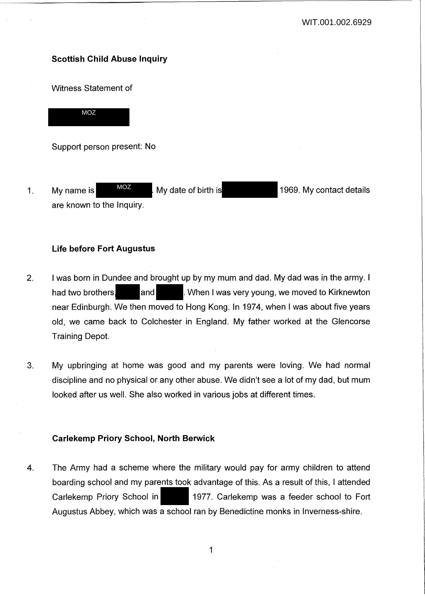# **Scottish Child Abuse Inquiry**

Witness Statement of

MOZ

Support person present: No

1. My name is MOZ My date of birth is 1969. My contact details are known to the Inquiry. MOZ

## **Life before Fort Augustus**

- 2. I was born in Dundee and brought up by my mum and dad. My dad was in the army. I had two brothers, and **and . When I was very young, we moved to Kirknewton** near Edinburgh. We then moved to Hong Kong. In 1974, when I was about five years old, we came back to Colchester in England. My father worked at the Glencorse Training Depot.
- 3. My upbringing at home was good and my parents were loving. We had normal discipline and no physical or any other abuse. We didn't see a lot of my dad, but mum looked after us well. She also worked in various jobs at different times.

### **Carlekemp Priory School, North Berwick**

4. The Army had a scheme where the military would pay for army children to attend boarding school and my parents took advantage of this. As a result of this, I attended Carlekemp Priory School in 1977. Carlekemp was a feeder school to Fort Augustus Abbey, which was a school ran by Benedictine monks in Inverness-shire.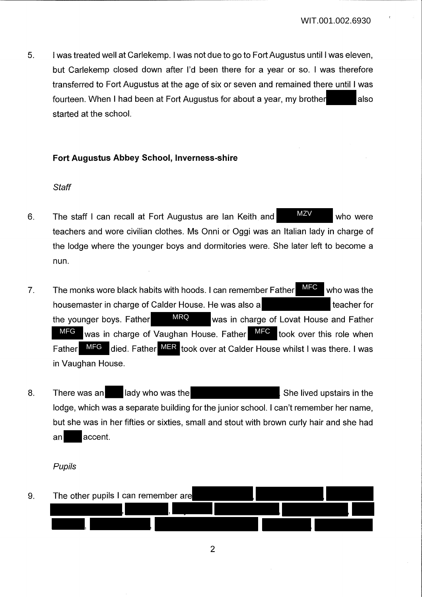5. I was treated well at Carlekemp. I was not due to go to Fort Augustus until I was eleven, but Carlekemp closed down after I'd been there for a year or so. I was therefore transferred to Fort Augustus at the age of six or seven and remained there until I was fourteen. When I had been at Fort Augustus for about a year, my brother also started at the school.

### **Fort Augustus Abbey School, Inverness-shire**

### **Staff**

- 6. The staff I can recall at Fort Augustus are Ian Keith and MEV who were teachers and wore civilian clothes. Ms Onni or Oggi was an Italian lady in charge of the lodge where the younger boys and dormitories were. She later left to become a nun. MZV
- 7. The monks wore black habits with hoods. I can remember Father  $\frac{MFC}{NTC}$  who was the housemaster in charge of Calder House. He was also a teacher for the younger boys. Father MRQ was in charge of Lovat House and Father MFG was in charge of Vaughan House. Father MFC took over this role when Father MFG died. Father MER took over at Calder House whilst I was there. I was in Vaughan House. MFC MRQ
- 8. There was an lady who was the Shell and She lived upstairs in the lodge, which was a separate building for the junior school. I can't remember her name, but she was in her fifties or sixties, small and stout with brown curly hair and she had an accent.

#### Pupils

9. The other pupils I can remember are ,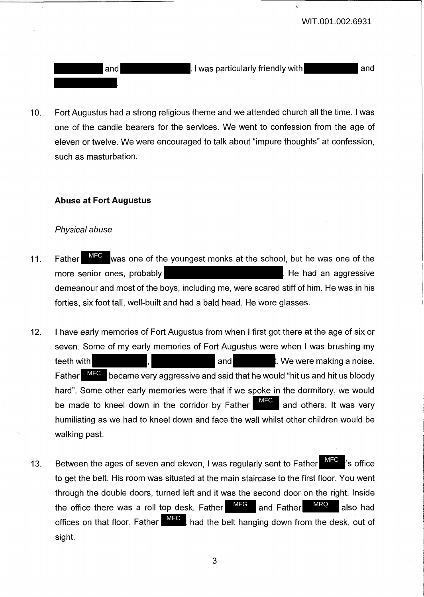and I was particularly friendly with and

10. Fort Augustus had a strong religious theme and we attended church all the time. I was one of the candle bearers for the services. We went to confession from the age of eleven or twelve. We were encouraged to talk about "impure thoughts" at confession, such as masturbation.

## **Abuse at Fort Augustus**

### Physical abuse

- 11. Father MFC was one of the youngest monks at the school, but he was one of the more senior ones, probably **He had an aggressive** had an aggressive demeanour and most of the boys, including me, were scared stiff of him. He was in his forties, six foot tall, well-built and had a bald head. He wore glasses. Father MFC
- 12. I have early memories of Fort Augustus from when I first got there at the age of six or seven. Some of my early memories of Fort Augustus were when I was brushing my teeth with the contract of the state of the contract of the contract of the contract of the contract of the contract of the contract of the contract of the contract of the contract of the contract of the contract of the co Father MFC became very aggressive and said that he would "hit us and hit us bloody hard". Some other early memories were that if we spoke in the dormitory, we would be made to kneel down in the corridor by Father  $\overline{\phantom{a}^{\text{MFC}}}$  and others. It was very humiliating as we had to kneel down and face the wall whilst other children would be walking past.
- 13. Between the ages of seven and eleven, I was regularly sent to Father  $\frac{MFC}{N}$  is office to get the belt. His room was situated at the main staircase to the first floor. You went through the double doors, turned left and it was the second door on the right. Inside the office there was a roll top desk. Father  $MFG$  and Father  $MRC$  also had offices on that floor. Father  $\frac{\textsf{MFC}}{\textsf{MFC}}$  had the belt hanging down from the desk, out of sight. MFG MRQ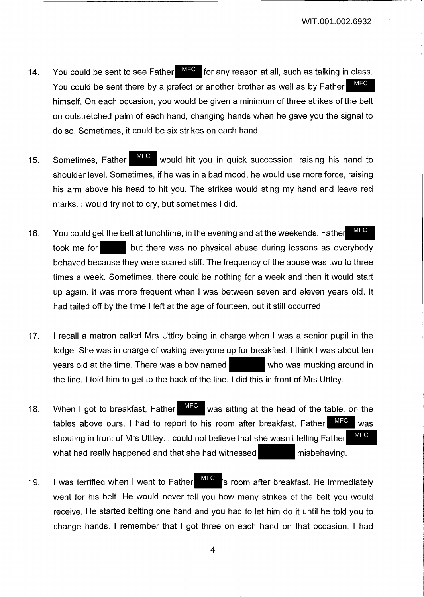- 14. You could be sent to see Father MFC for any reason at all, such as talking in class. You could be sent there by a prefect or another brother as well as by Father himself. On each occasion, you would be given a minimum of three strikes of the belt on outstretched palm of each hand, changing hands when he gave you the signal to do so. Sometimes, it could be six strikes on each hand. MFC
- 15. Sometimes, Father **WHO** would hit you in quick succession, raising his hand to shoulder level. Sometimes, if he was in a bad mood, he would use more force, raising his arm above his head to hit you. The strikes would sting my hand and leave red marks. I would try not to cry, but sometimes I did. MFC
- 16. You could get the belt at lunchtime, in the evening and at the weekends. Father took me for but there was no physical abuse during lessons as everybody behaved because they were scared stiff. The frequency of the abuse was two to three times a week. Sometimes, there could be nothing for a week and then it would start up again. It was more frequent when I was between seven and eleven years old. It had tailed off by the time I left at the age of fourteen, but it still occurred. MFC
- 17. I recall a matron called Mrs Uttley being in charge when I was a senior pupil in the lodge. She was in charge of waking everyone up for breakfast. I think I was about ten years old at the time. There was a boy named who was mucking around in the line. I told him to get to the back of the line. I did this in front of Mrs Uttley.
- 18. When I got to breakfast, Father  $\frac{MFC}{NFG}$  was sitting at the head of the table, on the tables above ours. I had to report to his room after breakfast. Father  $\blacksquare$  was shouting in front of Mrs Uttley. I could not believe that she wasn't telling Father what had really happened and that she had witnessed misbehaving. When I got to breakfast, Father MFC MFC MFC
- 19. I was terrified when I went to Father **III is the State of the indefinition**'s room after breakfast. He immediately went for his belt. He would never tell you how many strikes of the belt you would receive. He started belting one hand and you had to let him do it until he told you to change hands. I remember that I got three on each hand on that occasion. I had MFC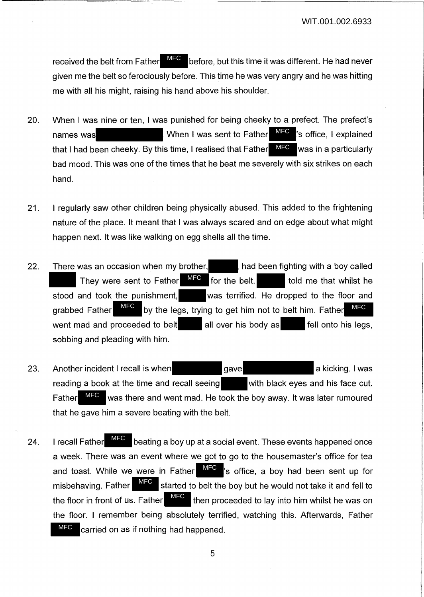received the belt from Father MFC before, but this time it was different. He had never given me the belt so ferociously before. This time he was very angry and he was hitting me with all his might, raising his hand above his shoulder.

- 20. When I was nine or ten, I was punished for being cheeky to a prefect. The prefect's names was  $\blacksquare$  When I was sent to Father  $\blacksquare$  is office, I explained that I had been cheeky. By this time, I realised that Father MFC was in a particularly bad mood. This was one of the times that he beat me severely with six strikes on each hand. MFC
- 21. I regularly saw other children being physically abused. This added to the frightening nature of the place. It meant that I was always scared and on edge about what might happen next. It was like walking on egg shells all the time.
- 22. There was an occasion when my brother, had been fighting with a boy called They were sent to Father  $MFC$  for the belt. told me that whilst he stood and took the punishment, was terrified. He dropped to the floor and grabbed Father MFC by the legs, trying to get him not to belt him. Father MFC went mad and proceeded to belt all over his body as  $\blacksquare$  fell onto his legs, sobbing and pleading with him. MFC MFC
- 23. Another incident I recall is when gave gave a kicking. I was reading a book at the time and recall seeing with black eyes and his face cut. Father MFC was there and went mad. He took the boy away. It was later rumoured that he gave him a severe beating with the belt.
- 24. I recall Father **MFC** beating a boy up at a social event. These events happened once a week. There was an event where we got to go to the housemaster's office for tea and toast. While we were in Father  $\frac{MFC}{S}$  's office, a boy had been sent up for misbehaving. Father  $\blacksquare^{\text{MIEG}}$  started to belt the boy but he would not take it and fell to the floor in front of us. Father  $\frac{MFC}{H}$  then proceeded to lay into him whilst he was on the floor. I remember being absolutely terrified, watching this. Afterwards, Father carried on as if nothing had happened. MFC MFC MFC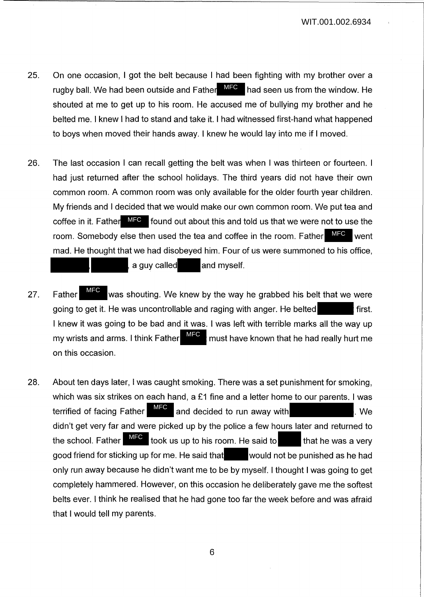- 25. On one occasion, I got the belt because I had been fighting with my brother over a rugby ball. We had been outside and Father MFC had seen us from the window. He shouted at me to get up to his room. He accused me of bullying my brother and he belted me. I knew I had to stand and take it. I had witnessed first-hand what happened to boys when moved their hands away. I knew he would lay into me if I moved.
- 26. The last occasion I can recall getting the belt was when I was thirteen or fourteen. I had just returned after the school holidays. The third years did not have their own common room. A common room was only available for the older fourth year children. My friends and I decided that we would make our own common room. We put tea and coffee in it. Father  $\overline{MFC}$  found out about this and told us that we were not to use the room. Somebody else then used the tea and coffee in the room. Father mad. He thought that we had disobeyed him. Four of us were summoned to his office, a guy called and myself. MFC <sub>went</sub>
- 27. Father MFC was shouting. We knew by the way he grabbed his belt that we were going to get it. He was uncontrollable and raging with anger. He belted first. I knew it was going to be bad and it was. I was left with terrible marks all the way up my wrists and arms. I think Father  $\frac{MTP}{N}$  must have known that he had really hurt me on this occasion. MFC MFC
- 28. About ten days later, I was caught smoking. There was a set punishment for smoking, which was six strikes on each hand, a £1 fine and a letter home to our parents. I was terrified of facing Father  $\overline{\phantom{a}^{\mathsf{MFC}}}$  and decided to run away with  $\overline{\phantom{a}}$ . We didn't get very far and were picked up by the police a few hours later and returned to the school. Father  $\overline{MFC}$  took us up to his room. He said to that he was a very good friend for sticking up for me. He said that would not be punished as he had only run away because he didn't want me to be by myself. I thought I was going to get completely hammered. However, on this occasion he deliberately gave me the softest belts ever. I think he realised that he had gone too far the week before and was afraid that I would tell my parents.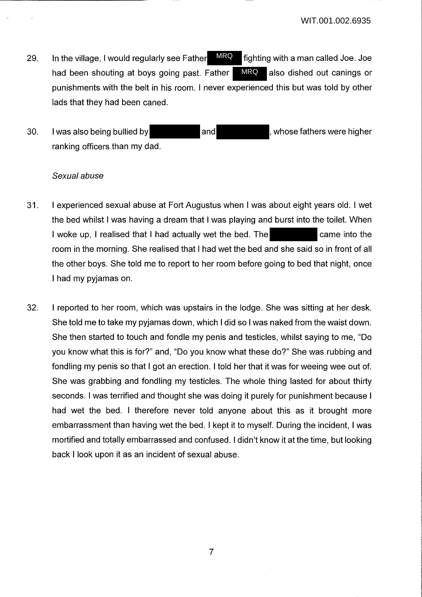- 29. In the village, I would regularly see Father  $\frac{MRQ}{T}$  fighting with a man called Joe. Joe had been shouting at boys going past. Father MRQ also dished out canings or punishments with the belt in his room. I never experienced this but was told by other lads that they had been caned. MRQ MRQ
- 30. I was also being bullied by and and the station were higher ranking officers than my dad.

### *Sexual abuse*

- 31. I experienced sexual abuse at Fort Augustus when I was about eight years old. I wet the bed whilst I was having a dream that I was playing and burst into the toilet. When I woke up, I realised that I had actually wet the bed. The came into the room in the morning. She realised that I had wet the bed and she said so in front of all the other boys. She told me to report to her room before going to bed that night, once I had my pyjamas on.
- 32. I reported to her room, which was upstairs in the lodge. She was sitting at her desk. She told me to take my pyjamas down, which I did so I was naked from the waist down. She then started to touch and fondle my penis and testicles, whilst saying to me, "Do you know what this is for?" and, "Do you know what these do?" She was rubbing and fondling my penis so that I got an erection. I told her that it was for weeing wee out of. She was grabbing and fondling my testicles. The whole thing lasted for about thirty seconds. I was terrified and thought she was doing it purely for punishment because I had wet the bed. I therefore never told anyone about this as it brought more embarrassment than having wet the bed. I kept it to myself. During the incident, I was mortified and totally embarrassed and confused. I didn't know it at the time, but looking back I look upon it as an incident of sexual abuse.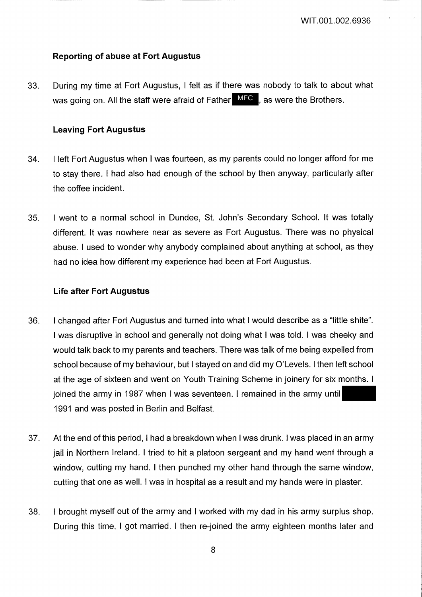### **Reporting of abuse at Fort Augustus**

33. During my time at Fort Augustus, I felt as if there was nobody to talk to about what was going on. All the staff were afraid of Father MFC, as were the Brothers.

### **Leaving Fort Augustus**

- 34. I left Fort Augustus when I was fourteen, as my parents could no longer afford for me to stay there. I had also had enough of the school by then anyway, particularly after the coffee incident.
- 35. I went to a normal school in Dundee, St. John's Secondary School. It was totally different. It was nowhere near as severe as Fort Augustus. There was no physical abuse. I used to wonder why anybody complained about anything at school, as they had no idea how different my experience had been at Fort Augustus.

### **Life after Fort Augustus**

- 36. I changed after Fort Augustus and turned into what I would describe as a "little shite". I was disruptive in school and generally not doing what I was told. I was cheeky and would talk back to my parents and teachers. There was talk of me being expelled from school because of my behaviour, but I stayed on and did my O'Levels. I then left school at the age of sixteen and went on Youth Training Scheme in joinery for six months. I joined the army in 1987 when I was seventeen. I remained in the army until 1991 and was posted in Berlin and Belfast.
- 37. At the end of this period, I had a breakdown when I was drunk. I was placed in an army jail in Northern Ireland. I tried to hit a platoon sergeant and my hand went through a window, cutting my hand. I then punched my other hand through the same window, cutting that one as well. I was in hospital as a result and my hands were in plaster.
- 38. I brought myself out of the army and I worked with my dad in his army surplus shop. During this time, I got married. I then re-joined the army eighteen months later and

8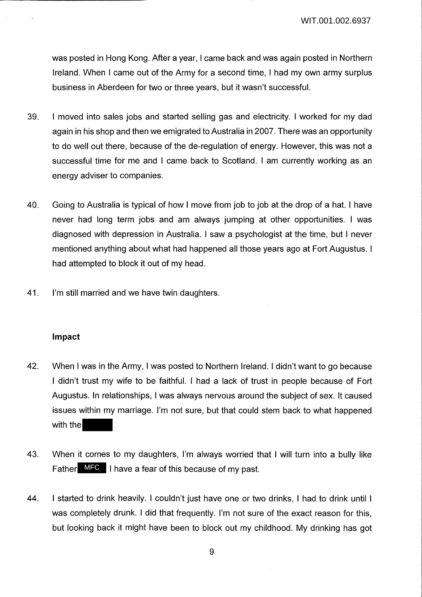was posted in Hong Kong. After a year, I came back and was again posted in Northern Ireland. When I came out of the Army for a second time, I had my own army surplus business in Aberdeen for two or three years, but it wasn't successful.

- 39. I moved into sales jobs and started selling gas and electricity. I worked for my dad again in his shop and then we emigrated to Australia in 2007. There was an opportunity to do well out there, because of the de-regulation of energy. However, this was not a successful time for me and I came back to Scotland. I am currently working as an energy adviser to companies.
- 40. Going to Australia is typical of how I move from job to job at the drop of a hat. I have never had long term jobs and am always jumping at other opportunities. I was diagnosed with depression in Australia. I saw a psychologist at the time, but I never mentioned anything about what had happened all those years ago at Fort Augustus. I had attempted to block it out of my head.
- 41. I'm still married and we have twin daughters.

#### **Impact**

- 42. When I was in the Army, I was posted to Northern Ireland. I didn't want to go because I didn't trust my wife to be faithful. I had a lack of trust in people because of Fort Augustus. In relationships, I was always nervous around the subject of sex. It caused issues within my marriage. I'm not sure, but that could stem back to what happened with the
- 43. When it comes to my daughters, I'm always worried that I will turn into a bully like Father  $MFC$  I have a fear of this because of my past.
- 44. I started to drink heavily. I couldn't just have one or two drinks, I had to drink until I was completely drunk. I did that frequently. I'm not sure of the exact reason for this, but looking back it might have been to block out my childhood. My drinking has got

9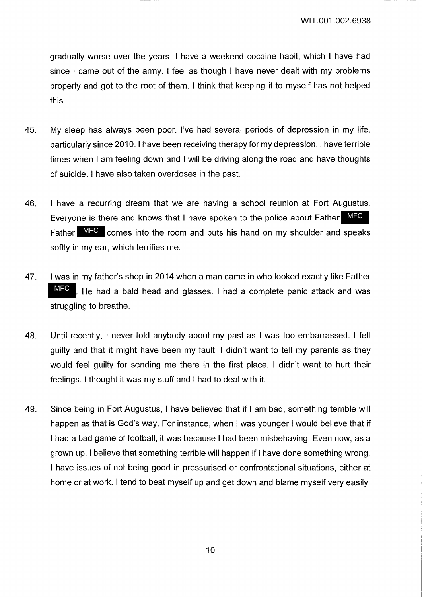gradually worse over the years. I have a weekend cocaine habit, which I have had since I came out of the army. I feel as though I have never dealt with my problems properly and got to the root of them. I think that keeping it to myself has not helped this.

- 45. My sleep has always been poor. I've had several periods of depression in my life, particularly since 2010. I have been receiving therapy for my depression. I have terrible times when I am feeling down and I will be driving along the road and have thoughts of suicide. I have also taken overdoses in the past.
- 46. I have a recurring dream that we are having a school reunion at Fort Augustus. Everyone is there and knows that I have spoken to the police about Father MFC Father  $MFC$  comes into the room and puts his hand on my shoulder and speaks softly in my ear, which terrifies me.
- 47. I was in my father's shop in 2014 when a man came in who looked exactly like Father . He had a bald head and glasses. I had a complete panic attack and was struggling to breathe. MFC
- 48. Until recently, I never told anybody about my past as I was too embarrassed. I felt guilty and that it might have been my fault. I didn't want to tell my parents as they would feel guilty for sending me there in the first place. I didn't want to hurt their feelings. I thought it was my stuff and I had to deal with it.
- 49. Since being in Fort Augustus, I have believed that if I am bad, something terrible will happen as that is God's way. For instance, when I was younger I would believe that if I had a bad game of football, it was because I had been misbehaving. Even now, as a grown up, I believe that something terrible will happen if I have done something wrong. I have issues of not being good in pressurised or confrontational situations, either at home or at work. I tend to beat myself up and get down and blame myself very easily.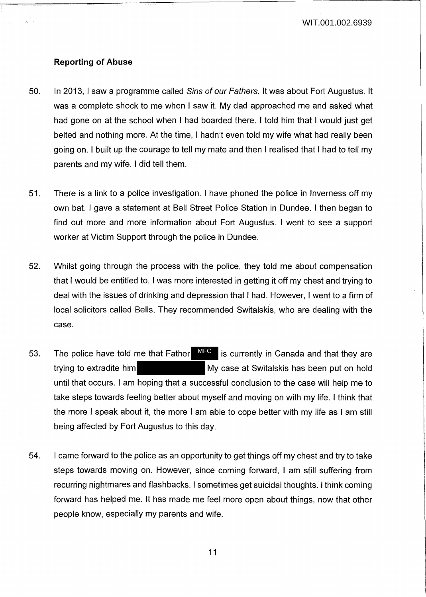WIT.001.002.6939

#### **Reporting of Abuse**

- 50. In 2013, I saw a programme called Sins of our Fathers. It was about Fort Augustus. It was a complete shock to me when I saw it. My dad approached me and asked what had gone on at the school when I had boarded there. I told him that I would just get belted and nothing more. At the time, I hadn't even told my wife what had really been going on. I built up the courage to tell my mate and then I realised that I had to tell my parents and my wife. I did tell them.
- 51. There is a link to a police investigation. I have phoned the police in Inverness off my own bat. I gave a statement at Bell Street Police Station in Dundee. I then began to find out more and more information about Fort Augustus. I went to see a support worker at Victim Support through the police in Dundee.
- 52. Whilst going through the process with the police, they told me about compensation that I would be entitled to. I was more interested in getting it off my chest and trying to deal with the issues of drinking and depression that I had. However, I went to a firm of local solicitors called Bells. They recommended Switalskis, who are dealing with the case.
- 53. The police have told me that Father  $\overline{M}$  is currently in Canada and that they are trying to extradite him **My case at Switalskis has been put on hold** until that occurs. I am hoping that a successful conclusion to the case will help me to take steps towards feeling better about myself and moving on with my life. I think that the more I speak about it, the more I am able to cope better with my life as I am still being affected by Fort Augustus to this day.
- 54. I came forward to the police as an opportunity to get things off my chest and try to take steps towards moving on. However, since coming forward, I am still suffering from recurring nightmares and flashbacks. I sometimes get suicidal thoughts. I think coming forward has helped me. It has made me feel more open about things, now that other people know, especially my parents and wife.

11